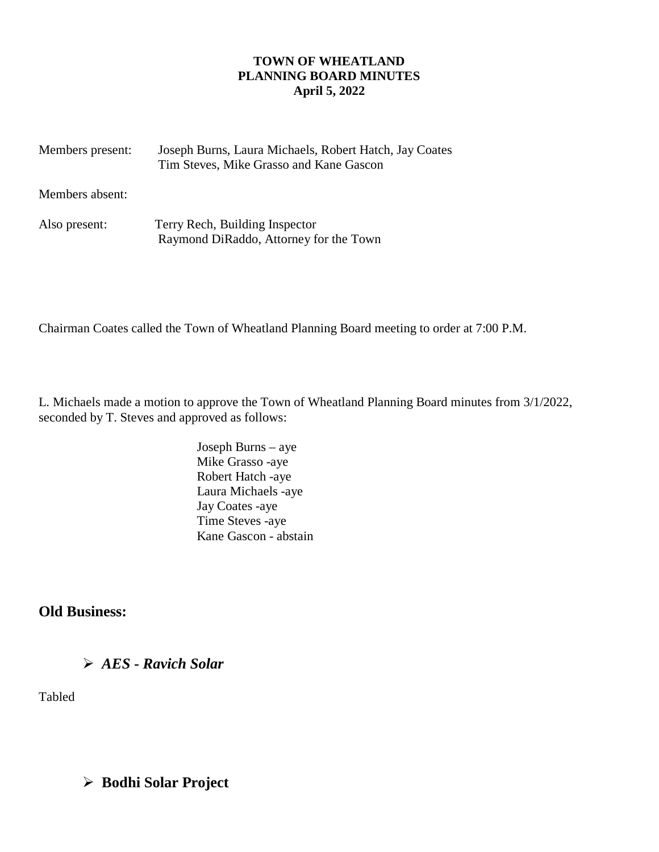#### **TOWN OF WHEATLAND PLANNING BOARD MINUTES April 5, 2022**

| Members present: | Joseph Burns, Laura Michaels, Robert Hatch, Jay Coates<br>Tim Steves, Mike Grasso and Kane Gascon |
|------------------|---------------------------------------------------------------------------------------------------|
| Members absent:  |                                                                                                   |
| Also present:    | Terry Rech, Building Inspector<br>Raymond DiRaddo, Attorney for the Town                          |

Chairman Coates called the Town of Wheatland Planning Board meeting to order at 7:00 P.M.

L. Michaels made a motion to approve the Town of Wheatland Planning Board minutes from 3/1/2022, seconded by T. Steves and approved as follows:

> Joseph Burns – aye Mike Grasso -aye Robert Hatch -aye Laura Michaels -aye Jay Coates -aye Time Steves -aye Kane Gascon - abstain

**Old Business:**

*AES - Ravich Solar* 

Tabled

# **Bodhi Solar Project**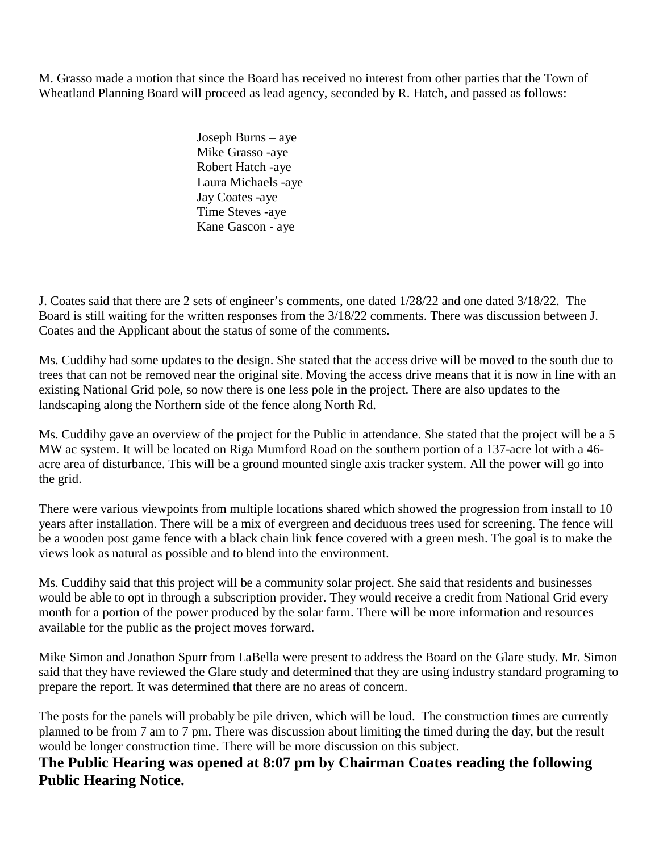M. Grasso made a motion that since the Board has received no interest from other parties that the Town of Wheatland Planning Board will proceed as lead agency, seconded by R. Hatch, and passed as follows:

> Joseph Burns – aye Mike Grasso -aye Robert Hatch -aye Laura Michaels -aye Jay Coates -aye Time Steves -aye Kane Gascon - aye

J. Coates said that there are 2 sets of engineer's comments, one dated 1/28/22 and one dated 3/18/22. The Board is still waiting for the written responses from the 3/18/22 comments. There was discussion between J. Coates and the Applicant about the status of some of the comments.

Ms. Cuddihy had some updates to the design. She stated that the access drive will be moved to the south due to trees that can not be removed near the original site. Moving the access drive means that it is now in line with an existing National Grid pole, so now there is one less pole in the project. There are also updates to the landscaping along the Northern side of the fence along North Rd.

Ms. Cuddihy gave an overview of the project for the Public in attendance. She stated that the project will be a 5 MW ac system. It will be located on Riga Mumford Road on the southern portion of a 137-acre lot with a 46 acre area of disturbance. This will be a ground mounted single axis tracker system. All the power will go into the grid.

There were various viewpoints from multiple locations shared which showed the progression from install to 10 years after installation. There will be a mix of evergreen and deciduous trees used for screening. The fence will be a wooden post game fence with a black chain link fence covered with a green mesh. The goal is to make the views look as natural as possible and to blend into the environment.

Ms. Cuddihy said that this project will be a community solar project. She said that residents and businesses would be able to opt in through a subscription provider. They would receive a credit from National Grid every month for a portion of the power produced by the solar farm. There will be more information and resources available for the public as the project moves forward.

Mike Simon and Jonathon Spurr from LaBella were present to address the Board on the Glare study. Mr. Simon said that they have reviewed the Glare study and determined that they are using industry standard programing to prepare the report. It was determined that there are no areas of concern.

The posts for the panels will probably be pile driven, which will be loud. The construction times are currently planned to be from 7 am to 7 pm. There was discussion about limiting the timed during the day, but the result would be longer construction time. There will be more discussion on this subject.

**The Public Hearing was opened at 8:07 pm by Chairman Coates reading the following Public Hearing Notice.**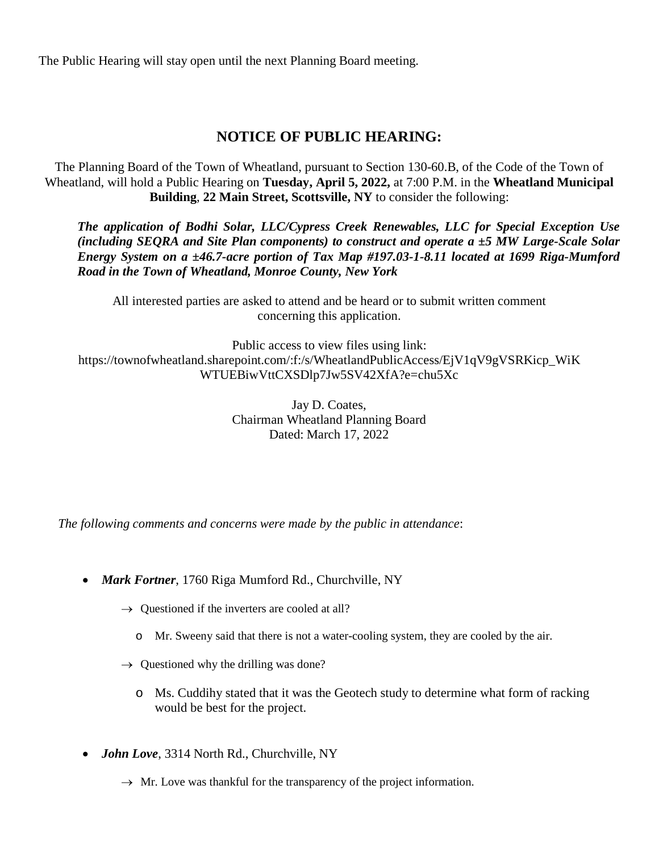The Public Hearing will stay open until the next Planning Board meeting.

### **NOTICE OF PUBLIC HEARING:**

The Planning Board of the Town of Wheatland, pursuant to Section 130-60.B, of the Code of the Town of Wheatland, will hold a Public Hearing on **Tuesday, April 5, 2022,** at 7:00 P.M. in the **Wheatland Municipal Building**, **22 Main Street, Scottsville, NY** to consider the following:

*The application of Bodhi Solar, LLC/Cypress Creek Renewables, LLC for Special Exception Use (including SEQRA and Site Plan components) to construct and operate a ±5 MW Large-Scale Solar Energy System on a ±46.7-acre portion of Tax Map #197.03-1-8.11 located at 1699 Riga-Mumford Road in the Town of Wheatland, Monroe County, New York*

All interested parties are asked to attend and be heard or to submit written comment concerning this application.

Public access to view files using link: https://townofwheatland.sharepoint.com/:f:/s/WheatlandPublicAccess/EjV1qV9gVSRKicp\_WiK WTUEBiwVttCXSDlp7Jw5SV42XfA?e=chu5Xc

> Jay D. Coates, Chairman Wheatland Planning Board Dated: March 17, 2022

*The following comments and concerns were made by the public in attendance*:

- *Mark Fortner*, 1760 Riga Mumford Rd., Churchville, NY
	- $\rightarrow$  Questioned if the inverters are cooled at all?
		- o Mr. Sweeny said that there is not a water-cooling system, they are cooled by the air.
	- $\rightarrow$  Questioned why the drilling was done?
		- o Ms. Cuddihy stated that it was the Geotech study to determine what form of racking would be best for the project.
- *John Love*, 3314 North Rd., Churchville, NY
	- $\rightarrow$  Mr. Love was thankful for the transparency of the project information.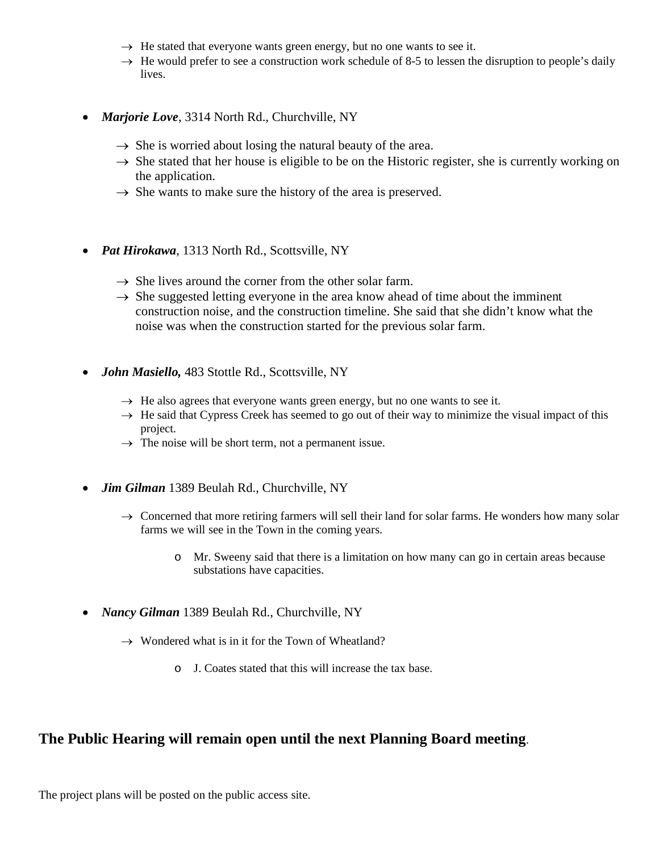- $\rightarrow$  He stated that everyone wants green energy, but no one wants to see it.
- $\rightarrow$  He would prefer to see a construction work schedule of 8-5 to lessen the disruption to people's daily lives.
- *Marjorie Love*, 3314 North Rd., Churchville, NY
	- $\rightarrow$  She is worried about losing the natural beauty of the area.
	- $\rightarrow$  She stated that her house is eligible to be on the Historic register, she is currently working on the application.
	- $\rightarrow$  She wants to make sure the history of the area is preserved.
- *Pat Hirokawa*, 1313 North Rd., Scottsville, NY
	- $\rightarrow$  She lives around the corner from the other solar farm.
	- $\rightarrow$  She suggested letting everyone in the area know ahead of time about the imminent construction noise, and the construction timeline. She said that she didn't know what the noise was when the construction started for the previous solar farm.
- *John Masiello,* 483 Stottle Rd., Scottsville, NY
	- $\rightarrow$  He also agrees that everyone wants green energy, but no one wants to see it.
	- $\rightarrow$  He said that Cypress Creek has seemed to go out of their way to minimize the visual impact of this project.
	- $\rightarrow$  The noise will be short term, not a permanent issue.
- *Jim Gilman* 1389 Beulah Rd., Churchville, NY
	- $\rightarrow$  Concerned that more retiring farmers will sell their land for solar farms. He wonders how many solar farms we will see in the Town in the coming years.
		- o Mr. Sweeny said that there is a limitation on how many can go in certain areas because substations have capacities.
- *Nancy Gilman* 1389 Beulah Rd., Churchville, NY
	- $\rightarrow$  Wondered what is in it for the Town of Wheatland?
		- o J. Coates stated that this will increase the tax base.

#### **The Public Hearing will remain open until the next Planning Board meeting**.

The project plans will be posted on the public access site.